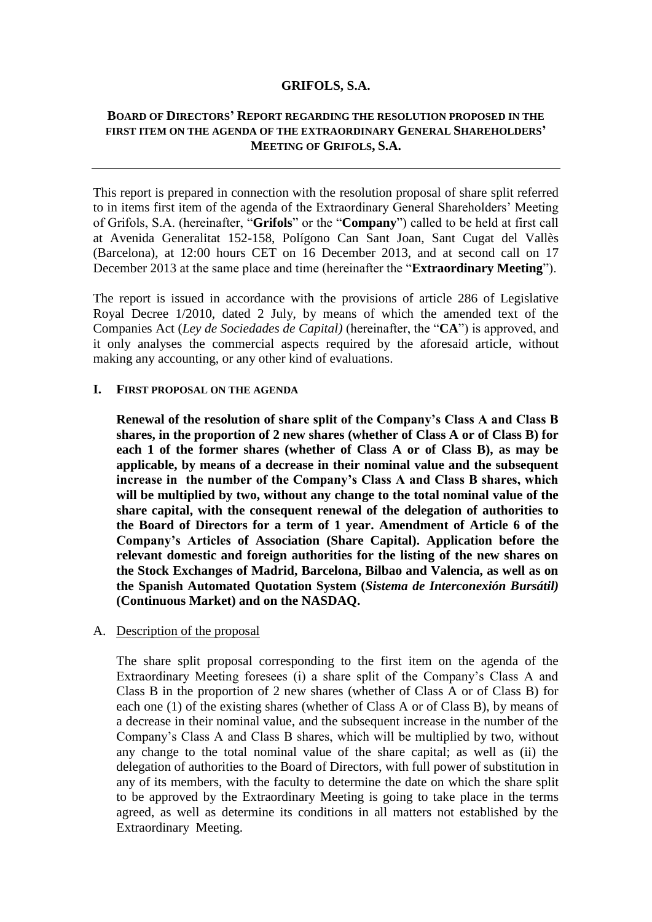### **GRIFOLS, S.A.**

# **BOARD OF DIRECTORS' REPORT REGARDING THE RESOLUTION PROPOSED IN THE FIRST ITEM ON THE AGENDA OF THE EXTRAORDINARY GENERAL SHAREHOLDERS' MEETING OF GRIFOLS, S.A.**

This report is prepared in connection with the resolution proposal of share split referred to in items first item of the agenda of the Extraordinary General Shareholders' Meeting of Grifols, S.A. (hereinafter, "**Grifols**" or the "**Company**") called to be held at first call at Avenida Generalitat 152-158, Polígono Can Sant Joan, Sant Cugat del Vallès (Barcelona), at 12:00 hours CET on 16 December 2013, and at second call on 17 December 2013 at the same place and time (hereinafter the "**Extraordinary Meeting**").

The report is issued in accordance with the provisions of article 286 of Legislative Royal Decree 1/2010, dated 2 July, by means of which the amended text of the Companies Act (*Ley de Sociedades de Capital)* (hereinafter, the "**CA**") is approved, and it only analyses the commercial aspects required by the aforesaid article, without making any accounting, or any other kind of evaluations.

#### **I. FIRST PROPOSAL ON THE AGENDA**

**Renewal of the resolution of share split of the Company's Class A and Class B shares, in the proportion of 2 new shares (whether of Class A or of Class B) for each 1 of the former shares (whether of Class A or of Class B), as may be applicable, by means of a decrease in their nominal value and the subsequent increase in the number of the Company's Class A and Class B shares, which will be multiplied by two, without any change to the total nominal value of the share capital, with the consequent renewal of the delegation of authorities to the Board of Directors for a term of 1 year. Amendment of Article 6 of the Company's Articles of Association (Share Capital). Application before the relevant domestic and foreign authorities for the listing of the new shares on the Stock Exchanges of Madrid, Barcelona, Bilbao and Valencia, as well as on the Spanish Automated Quotation System (***Sistema de Interconexión Bursátil)*  **(Continuous Market) and on the NASDAQ.**

## A. Description of the proposal

The share split proposal corresponding to the first item on the agenda of the Extraordinary Meeting foresees (i) a share split of the Company's Class A and Class B in the proportion of 2 new shares (whether of Class A or of Class B) for each one (1) of the existing shares (whether of Class A or of Class B), by means of a decrease in their nominal value, and the subsequent increase in the number of the Company's Class A and Class B shares, which will be multiplied by two, without any change to the total nominal value of the share capital; as well as (ii) the delegation of authorities to the Board of Directors, with full power of substitution in any of its members, with the faculty to determine the date on which the share split to be approved by the Extraordinary Meeting is going to take place in the terms agreed, as well as determine its conditions in all matters not established by the Extraordinary Meeting.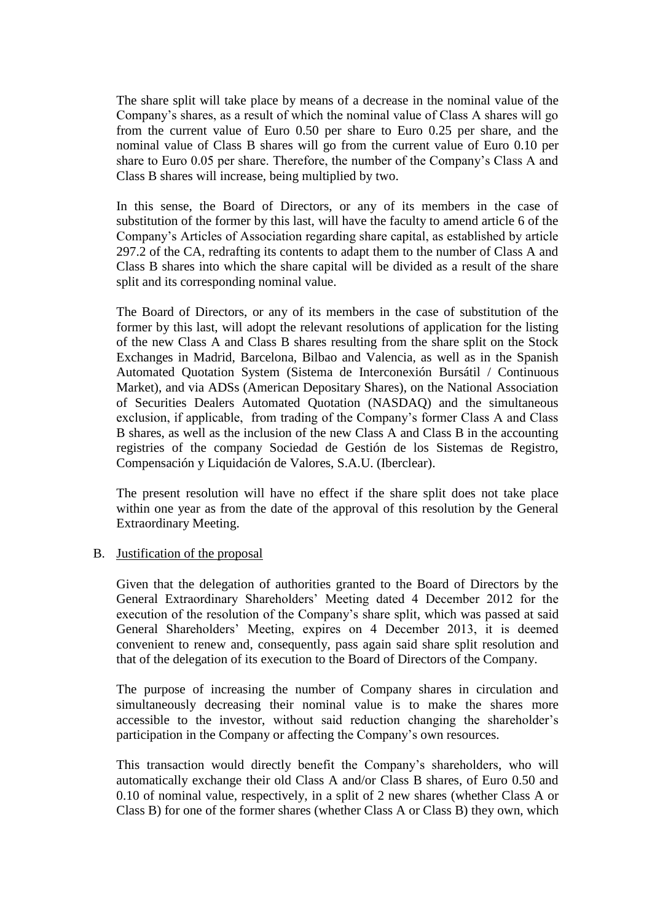The share split will take place by means of a decrease in the nominal value of the Company's shares, as a result of which the nominal value of Class A shares will go from the current value of Euro 0.50 per share to Euro 0.25 per share, and the nominal value of Class B shares will go from the current value of Euro 0.10 per share to Euro 0.05 per share. Therefore, the number of the Company's Class A and Class B shares will increase, being multiplied by two.

In this sense, the Board of Directors, or any of its members in the case of substitution of the former by this last, will have the faculty to amend article 6 of the Company's Articles of Association regarding share capital, as established by article 297.2 of the CA, redrafting its contents to adapt them to the number of Class A and Class B shares into which the share capital will be divided as a result of the share split and its corresponding nominal value.

The Board of Directors, or any of its members in the case of substitution of the former by this last, will adopt the relevant resolutions of application for the listing of the new Class A and Class B shares resulting from the share split on the Stock Exchanges in Madrid, Barcelona, Bilbao and Valencia, as well as in the Spanish Automated Quotation System (Sistema de Interconexión Bursátil / Continuous Market), and via ADSs (American Depositary Shares), on the National Association of Securities Dealers Automated Quotation (NASDAQ) and the simultaneous exclusion, if applicable, from trading of the Company's former Class A and Class B shares, as well as the inclusion of the new Class A and Class B in the accounting registries of the company Sociedad de Gestión de los Sistemas de Registro, Compensación y Liquidación de Valores, S.A.U. (Iberclear).

The present resolution will have no effect if the share split does not take place within one year as from the date of the approval of this resolution by the General Extraordinary Meeting.

## B. Justification of the proposal

Given that the delegation of authorities granted to the Board of Directors by the General Extraordinary Shareholders' Meeting dated 4 December 2012 for the execution of the resolution of the Company's share split, which was passed at said General Shareholders' Meeting, expires on 4 December 2013, it is deemed convenient to renew and, consequently, pass again said share split resolution and that of the delegation of its execution to the Board of Directors of the Company.

The purpose of increasing the number of Company shares in circulation and simultaneously decreasing their nominal value is to make the shares more accessible to the investor, without said reduction changing the shareholder's participation in the Company or affecting the Company's own resources.

This transaction would directly benefit the Company's shareholders, who will automatically exchange their old Class A and/or Class B shares, of Euro 0.50 and 0.10 of nominal value, respectively, in a split of 2 new shares (whether Class A or Class B) for one of the former shares (whether Class A or Class B) they own, which